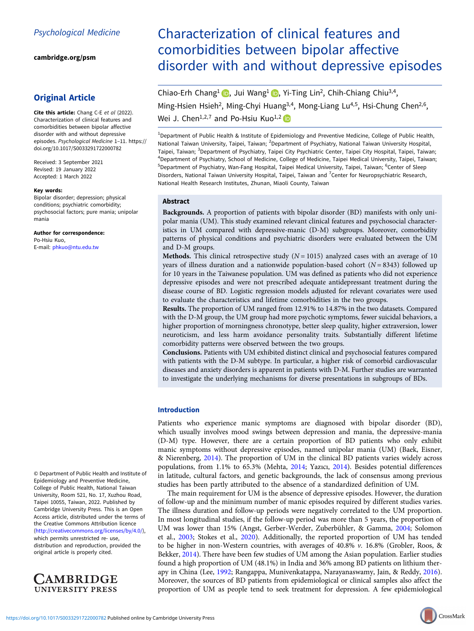[cambridge.org/psm](https://www.cambridge.org/psm)

## Original Article

Cite this article: Chang C-E et al (2022). Characterization of clinical features and comorbidities between bipolar affective disorder with and without depressive episodes. Psychological Medicine 1–11. [https://](https://doi.org/10.1017/S0033291722000782) [doi.org/10.1017/S0033291722000782](https://doi.org/10.1017/S0033291722000782)

Received: 3 September 2021 Revised: 19 January 2022 Accepted: 1 March 2022

#### Key words:

Bipolar disorder; depression; physical conditions; psychiatric comorbidity; psychosocial factors; pure mania; unipolar mania

#### Author for correspondence:

Po-Hsiu Kuo, E-mail: [phkuo@ntu.edu.tw](mailto:phkuo@ntu.edu.tw)

© Department of Public Health and Institute of Epidemiology and Preventive Medicine, College of Public Health, National Taiwan University, Room 521, No. 17, Xuzhou Road, Taipei 10055, Taiwan, 2022. Published by Cambridge University Press. This is an Open Access article, distributed under the terms of the Creative Commons Attribution licence ([http://creativecommons.org/licenses/by/4.0/\)](http://creativecommons.org/licenses/by/4.0/), which permits unrestricted re- use, distribution and reproduction, provided the original article is properly cited.



# Characterization of clinical features and comorbidities between bipolar affective disorder with and without depressive episodes

Chiao-Erh Chang<sup>1</sup> (b)[,](https://orcid.org/0000-0003-3361-5039) Jui Wang<sup>1</sup> (b), Yi-Ting Lin<sup>2</sup>, Chih-Chiang Chiu<sup>3,4</sup>, Ming-Hsien Hsieh<sup>2</sup>, Ming-Chyi Huang<sup>3,4</sup>, Mong-Liang Lu<sup>4,5</sup>, Hsi-Chung Chen<sup>2,6</sup>, Wei J. Chen<sup>1,2,7</sup> and Po-Hsiu Kuo<sup>1,2</sup>

<sup>1</sup>Department of Public Health & Institute of Epidemiology and Preventive Medicine, College of Public Health, National Taiwan University, Taipei, Taiwan; <sup>2</sup>Department of Psychiatry, National Taiwan University Hospital, Taipei, Taiwan; <sup>3</sup>Department of Psychiatry, Taipei City Psychiatric Center, Taipei City Hospital, Taipei, Taiwan; 4 Department of Psychiatry, School of Medicine, College of Medicine, Taipei Medical University, Taipei, Taiwan; <sup>5</sup>Department of Psychiatry, Wan-Fang Hospital, Taipei Medical University, Taipei, Taiwan; <sup>6</sup>Center of Sleep Disorders, National Taiwan University Hospital, Taipei, Taiwan and <sup>7</sup>Center for Neuropsychiatric Research,

## National Health Research Institutes, Zhunan, Miaoli County, Taiwan

### Abstract

Backgrounds. A proportion of patients with bipolar disorder (BD) manifests with only unipolar mania (UM). This study examined relevant clinical features and psychosocial characteristics in UM compared with depressive-manic (D-M) subgroups. Moreover, comorbidity patterns of physical conditions and psychiatric disorders were evaluated between the UM and D-M groups.

**Methods.** This clinical retrospective study  $(N = 1015)$  analyzed cases with an average of 10 years of illness duration and a nationwide population-based cohort  $(N = 8343)$  followed up for 10 years in the Taiwanese population. UM was defined as patients who did not experience depressive episodes and were not prescribed adequate antidepressant treatment during the disease course of BD. Logistic regression models adjusted for relevant covariates were used to evaluate the characteristics and lifetime comorbidities in the two groups.

Results. The proportion of UM ranged from 12.91% to 14.87% in the two datasets. Compared with the D-M group, the UM group had more psychotic symptoms, fewer suicidal behaviors, a higher proportion of morningness chronotype, better sleep quality, higher extraversion, lower neuroticism, and less harm avoidance personality traits. Substantially different lifetime comorbidity patterns were observed between the two groups.

Conclusions. Patients with UM exhibited distinct clinical and psychosocial features compared with patients with the D-M subtype. In particular, a higher risk of comorbid cardiovascular diseases and anxiety disorders is apparent in patients with D-M. Further studies are warranted to investigate the underlying mechanisms for diverse presentations in subgroups of BDs.

### Introduction

Patients who experience manic symptoms are diagnosed with bipolar disorder (BD), which usually involves mood swings between depression and mania, the depressive-mania (D-M) type. However, there are a certain proportion of BD patients who only exhibit manic symptoms without depressive episodes, named unipolar mania (UM) (Baek, Eisner, & Nierenberg, [2014](#page-9-0)). The proportion of UM in the clinical BD patients varies widely across populations, from 1.1% to 65.3% (Mehta, [2014;](#page-9-0) Yazıcı, [2014\)](#page-10-0). Besides potential differences in latitude, cultural factors, and genetic backgrounds, the lack of consensus among previous studies has been partly attributed to the absence of a standardized definition of UM.

The main requirement for UM is the absence of depressive episodes. However, the duration of follow-up and the minimum number of manic episodes required by different studies varies. The illness duration and follow-up periods were negatively correlated to the UM proportion. In most longitudinal studies, if the follow-up period was more than 5 years, the proportion of UM was lower than 15% (Angst, Gerber-Werder, Zuberbühler, & Gamma, [2004;](#page-8-0) Solomon et al., [2003](#page-10-0); Stokes et al., [2020\)](#page-10-0). Additionally, the reported proportion of UM has tended to be higher in non-Western countries, with averages of  $40.8\%$  v. 16.8% (Grobler, Roos, & Bekker, [2014](#page-9-0)). There have been few studies of UM among the Asian population. Earlier studies found a high proportion of UM (48.1%) in India and 36% among BD patients on lithium therapy in China (Lee, [1992;](#page-9-0) Rangappa, Munivenkatappa, Narayanaswamy, Jain, & Reddy, [2016](#page-9-0)). Moreover, the sources of BD patients from epidemiological or clinical samples also affect the proportion of UM as people tend to seek treatment for depression. A few epidemiological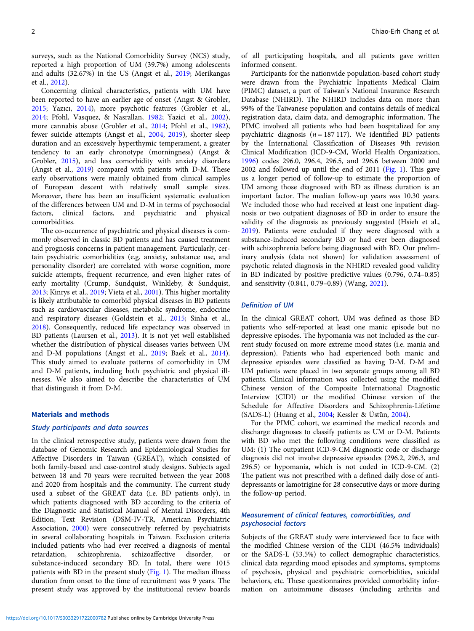surveys, such as the National Comorbidity Survey (NCS) study, reported a high proportion of UM (39.7%) among adolescents and adults (32.67%) in the US (Angst et al., [2019;](#page-9-0) Merikangas et al., [2012\)](#page-9-0).

Concerning clinical characteristics, patients with UM have been reported to have an earlier age of onset (Angst & Grobler, [2015;](#page-8-0) Yazıcı, [2014\)](#page-10-0), more psychotic features (Grobler et al., [2014;](#page-9-0) Pfohl, Vasquez, & Nasrallan, [1982;](#page-9-0) Yazici et al., [2002\)](#page-10-0), more cannabis abuse (Grobler et al., [2014](#page-9-0); Pfohl et al., [1982\)](#page-9-0), fewer suicide attempts (Angst et al., [2004](#page-8-0), [2019\)](#page-9-0), shorter sleep duration and an excessively hyperthymic temperament, a greater tendency to an early chronotype (morningness) (Angst & Grobler, [2015](#page-8-0)), and less comorbidity with anxiety disorders (Angst et al., [2019](#page-9-0)) compared with patients with D-M. These early observations were mainly obtained from clinical samples of European descent with relatively small sample sizes. Moreover, there has been an insufficient systematic evaluation of the differences between UM and D-M in terms of psychosocial factors, clinical factors, and psychiatric and physical comorbidities.

The co-occurrence of psychiatric and physical diseases is commonly observed in classic BD patients and has caused treatment and prognosis concerns in patient management. Particularly, certain psychiatric comorbidities (e.g. anxiety, substance use, and personality disorder) are correlated with worse cognition, more suicide attempts, frequent recurrence, and even higher rates of early mortality (Crump, Sundquist, Winkleby, & Sundquist, [2013;](#page-9-0) Kinrys et al., [2019](#page-9-0); Vieta et al., [2001\)](#page-10-0). This higher mortality is likely attributable to comorbid physical diseases in BD patients such as cardiovascular diseases, metabolic syndrome, endocrine and respiratory diseases (Goldstein et al., [2015](#page-9-0); Sinha et al., [2018\)](#page-10-0). Consequently, reduced life expectancy was observed in BD patients (Laursen et al., [2013\)](#page-9-0). It is not yet well established whether the distribution of physical diseases varies between UM and D-M populations (Angst et al., [2019](#page-9-0); Baek et al., [2014\)](#page-9-0). This study aimed to evaluate patterns of comorbidity in UM and D-M patients, including both psychiatric and physical illnesses. We also aimed to describe the characteristics of UM that distinguish it from D-M.

## Materials and methods

### Study participants and data sources

In the clinical retrospective study, patients were drawn from the database of Genomic Research and Epidemiological Studies for Affective Disorders in Taiwan (GREAT), which consisted of both family-based and case-control study designs. Subjects aged between 18 and 70 years were recruited between the year 2008 and 2020 from hospitals and the community. The current study used a subset of the GREAT data (i.e. BD patients only), in which patients diagnosed with BD according to the criteria of the Diagnostic and Statistical Manual of Mental Disorders, 4th Edition, Text Revision (DSM-IV-TR, American Psychiatric Association, [2000\)](#page-8-0) were consecutively referred by psychiatrists in several collaborating hospitals in Taiwan. Exclusion criteria included patients who had ever received a diagnosis of mental retardation, schizophrenia, schizoaffective disorder, or substance-induced secondary BD. In total, there were 1015 patients with BD in the present study [\(Fig. 1](#page-2-0)). The median illness duration from onset to the time of recruitment was 9 years. The present study was approved by the institutional review boards

of all participating hospitals, and all patients gave written informed consent.

Participants for the nationwide population-based cohort study were drawn from the Psychiatric Inpatients Medical Claim (PIMC) dataset, a part of Taiwan's National Insurance Research Database (NHIRD). The NHIRD includes data on more than 99% of the Taiwanese population and contains details of medical registration data, claim data, and demographic information. The PIMC involved all patients who had been hospitalized for any psychiatric diagnosis ( $n = 187$  117). We identified BD patients by the International Classification of Diseases 9th revision Clinical Modification (ICD-9-CM, World Health Organization, [1996\)](#page-10-0) codes 296.0, 296.4, 296.5, and 296.6 between 2000 and 2002 and followed up until the end of 2011 [\(Fig. 1\)](#page-2-0). This gave us a longer period of follow-up to estimate the proportion of UM among those diagnosed with BD as illness duration is an important factor. The median follow-up years was 10.30 years. We included those who had received at least one inpatient diagnosis or two outpatient diagnoses of BD in order to ensure the validity of the diagnosis as previously suggested (Hsieh et al., [2019\)](#page-9-0). Patients were excluded if they were diagnosed with a substance-induced secondary BD or had ever been diagnosed with schizophrenia before being diagnosed with BD. Our preliminary analysis (data not shown) for validation assessment of psychotic related diagnosis in the NHIRD revealed good validity in BD indicated by positive predictive values (0.796, 0.74–0.85) and sensitivity (0.841, 0.79–0.89) (Wang, [2021\)](#page-10-0).

## Definition of UM

In the clinical GREAT cohort, UM was defined as those BD patients who self-reported at least one manic episode but no depressive episodes. The hypomania was not included as the current study focused on more extreme mood states (i.e. mania and depression). Patients who had experienced both manic and depressive episodes were classified as having D-M. D-M and UM patients were placed in two separate groups among all BD patients. Clinical information was collected using the modified Chinese version of the Composite International Diagnostic Interview (CIDI) or the modified Chinese version of the Schedule for Affective Disorders and Schizophrenia-Lifetime (SADS-L) (Huang et al., [2004](#page-9-0); Kessler & Üstün, [2004](#page-9-0)).

For the PIMC cohort, we examined the medical records and discharge diagnoses to classify patients as UM or D-M. Patients with BD who met the following conditions were classified as UM: (1) The outpatient ICD-9-CM diagnostic code or discharge diagnosis did not involve depressive episodes (296.2, 296.3, and 296.5) or hypomania, which is not coded in ICD-9-CM. (2) The patient was not prescribed with a defined daily dose of antidepressants or lamotrigine for 28 consecutive days or more during the follow-up period.

## Measurement of clinical features, comorbidities, and psychosocial factors

Subjects of the GREAT study were interviewed face to face with the modified Chinese version of the CIDI (46.5% individuals) or the SADS-L (53.5%) to collect demographic characteristics, clinical data regarding mood episodes and symptoms, symptoms of psychosis, physical and psychiatric comorbidities, suicidal behaviors, etc. These questionnaires provided comorbidity information on autoimmune diseases (including arthritis and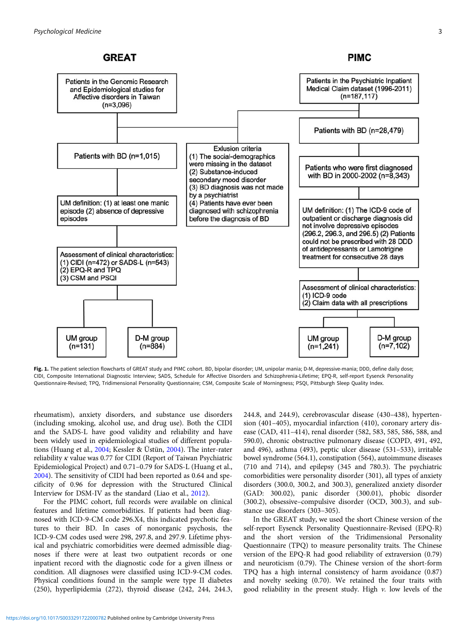## **GREAT**

**PIMC** 

<span id="page-2-0"></span>

Fig. 1. The patient selection flowcharts of GREAT study and PIMC cohort. BD, bipolar disorder; UM, unipolar mania; D-M, depressive-mania; DDD, define daily dose; CIDI, Composite International Diagnostic Interview; SADS, Schedule for Affective Disorders and Schizophrenia-Lifetime; EPQ-R, self-report Eysenck Personality Questionnaire-Revised; TPQ, Tridimensional Personality Questionnaire; CSM, Composite Scale of Morningness; PSQI, Pittsburgh Sleep Quality Index.

rheumatism), anxiety disorders, and substance use disorders (including smoking, alcohol use, and drug use). Both the CIDI and the SADS-L have good validity and reliability and have been widely used in epidemiological studies of different populations (Huang et al., [2004](#page-9-0); Kessler & Üstün, [2004](#page-9-0)). The inter-rater reliability  $\kappa$  value was 0.77 for CIDI (Report of Taiwan Psychiatric Epidemiological Project) and 0.71–0.79 for SADS-L (Huang et al., [2004\)](#page-9-0). The sensitivity of CIDI had been reported as 0.64 and specificity of 0.96 for depression with the Structured Clinical Interview for DSM-IV as the standard (Liao et al., [2012](#page-9-0)).

For the PIMC cohort, full records were available on clinical features and lifetime comorbidities. If patients had been diagnosed with ICD-9-CM code 296.X4, this indicated psychotic features to their BD. In cases of nonorganic psychosis, the ICD-9-CM codes used were 298, 297.8, and 297.9. Lifetime physical and psychiatric comorbidities were deemed admissible diagnoses if there were at least two outpatient records or one inpatient record with the diagnostic code for a given illness or condition. All diagnoses were classified using ICD-9-CM codes. Physical conditions found in the sample were type II diabetes (250), hyperlipidemia (272), thyroid disease (242, 244, 244.3, 244.8, and 244.9), cerebrovascular disease (430–438), hypertension (401–405), myocardial infarction (410), coronary artery disease (CAD, 411–414), renal disorder (582, 583, 585, 586, 588, and 590.0), chronic obstructive pulmonary disease (COPD, 491, 492, and 496), asthma (493), peptic ulcer disease (531–533), irritable bowel syndrome (564.1), constipation (564), autoimmune diseases (710 and 714), and epilepsy (345 and 780.3). The psychiatric comorbidities were personality disorder (301), all types of anxiety disorders (300.0, 300.2, and 300.3), generalized anxiety disorder (GAD: 300.02), panic disorder (300.01), phobic disorder (300.2), obsessive–compulsive disorder (OCD, 300.3), and substance use disorders (303–305).

In the GREAT study, we used the short Chinese version of the self-report Eysenck Personality Questionnaire-Revised (EPQ-R) and the short version of the Tridimensional Personality Questionnaire (TPQ) to measure personality traits. The Chinese version of the EPQ-R had good reliability of extraversion (0.79) and neuroticism (0.79). The Chinese version of the short-form TPQ has a high internal consistency of harm avoidance (0.87) and novelty seeking (0.70). We retained the four traits with good reliability in the present study. High  $\nu$ . low levels of the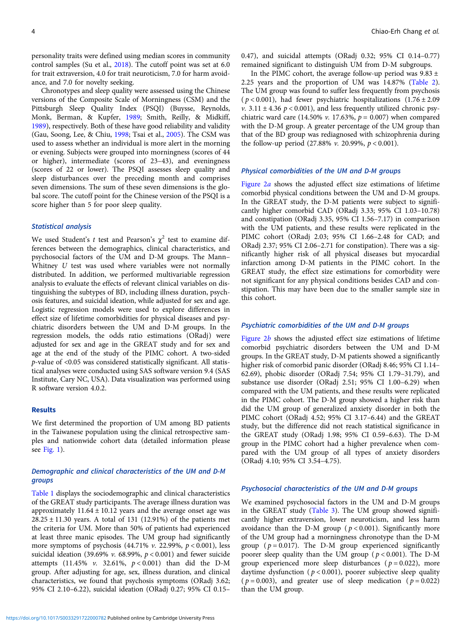personality traits were defined using median scores in community control samples (Su et al., [2018\)](#page-10-0). The cutoff point was set at 6.0 for trait extraversion, 4.0 for trait neuroticism, 7.0 for harm avoidance, and 7.0 for novelty seeking.

Chronotypes and sleep quality were assessed using the Chinese versions of the Composite Scale of Morningness (CSM) and the Pittsburgh Sleep Quality Index (PSQI) (Buysse, Reynolds, Monk, Berman, & Kupfer, [1989](#page-9-0); Smith, Reilly, & Midkiff, [1989\)](#page-10-0), respectively. Both of these have good reliability and validity (Gau, Soong, Lee, & Chiu, [1998;](#page-9-0) Tsai et al., [2005](#page-10-0)). The CSM was used to assess whether an individual is more alert in the morning or evening. Subjects were grouped into morningness (scores of 44 or higher), intermediate (scores of 23–43), and eveningness (scores of 22 or lower). The PSQI assesses sleep quality and sleep disturbances over the preceding month and comprises seven dimensions. The sum of these seven dimensions is the global score. The cutoff point for the Chinese version of the PSQI is a score higher than 5 for poor sleep quality.

## Statistical analysis

We used Student's t test and Pearson's  $\chi^2$  test to examine differences between the demographics, clinical characteristics, and psychosocial factors of the UM and D-M groups. The Mann– Whitney U test was used where variables were not normally distributed. In addition, we performed multivariable regression analysis to evaluate the effects of relevant clinical variables on distinguishing the subtypes of BD, including illness duration, psychosis features, and suicidal ideation, while adjusted for sex and age. Logistic regression models were used to explore differences in effect size of lifetime comorbidities for physical diseases and psychiatric disorders between the UM and D-M groups. In the regression models, the odds ratio estimations (ORadj) were adjusted for sex and age in the GREAT study and for sex and age at the end of the study of the PIMC cohort. A two-sided p-value of <0.05 was considered statistically significant. All statistical analyses were conducted using SAS software version 9.4 (SAS Institute, Cary NC, USA). Data visualization was performed using R software version 4.0.2.

### **Results**

We first determined the proportion of UM among BD patients in the Taiwanese population using the clinical retrospective samples and nationwide cohort data (detailed information please see [Fig. 1\)](#page-2-0).

## Demographic and clinical characteristics of the UM and D-M groups

[Table 1](#page-4-0) displays the sociodemographic and clinical characteristics of the GREAT study participants. The average illness duration was approximately  $11.64 \pm 10.12$  years and the average onset age was 28.25 ± 11.30 years. A total of 131 (12.91%) of the patients met the criteria for UM. More than 50% of patients had experienced at least three manic episodes. The UM group had significantly more symptoms of psychosis (44.71%  $v$ . 22.99%,  $p < 0.001$ ), less suicidal ideation (39.69% v. 68.99%,  $p < 0.001$ ) and fewer suicide attempts (11.45% v. 32.61%,  $p < 0.001$ ) than did the D-M group. After adjusting for age, sex, illness duration, and clinical characteristics, we found that psychosis symptoms (ORadj 3.62; 95% CI 2.10–6.22), suicidal ideation (ORadj 0.27; 95% CI 0.15–

0.47), and suicidal attempts (ORadj 0.32; 95% CI 0.14–0.77) remained significant to distinguish UM from D-M subgroups.

In the PIMC cohort, the average follow-up period was  $9.83 \pm$ 2.25 years and the proportion of UM was 14.87% [\(Table 2](#page-5-0)). The UM group was found to suffer less frequently from psychosis ( $p < 0.001$ ), had fewer psychiatric hospitalizations (1.76 ± 2.09 v.  $3.11 \pm 4.36$   $p < 0.001$ ), and less frequently utilized chronic psychiatric ward care (14.50% v. 17.63%,  $p = 0.007$ ) when compared with the D-M group. A greater percentage of the UM group than that of the BD group was rediagnosed with schizophrenia during the follow-up period  $(27.88\% v. 20.99\%, p < 0.001)$ .

## Physical comorbidities of the UM and D-M groups

[Figure 2](#page-6-0)a shows the adjusted effect size estimations of lifetime comorbid physical conditions between the UM and D-M groups. In the GREAT study, the D-M patients were subject to significantly higher comorbid CAD (ORadj 3.33; 95% CI 1.03–10.78) and constipation (ORadj 3.35, 95% CI 1.56–7.17) in comparison with the UM patients, and these results were replicated in the PIMC cohort (ORadj 2.03; 95% CI 1.66–2.48 for CAD; and ORadj 2.37; 95% CI 2.06–2.71 for constipation). There was a significantly higher risk of all physical diseases but myocardial infarction among D-M patients in the PIMC cohort. In the GREAT study, the effect size estimations for comorbidity were not significant for any physical conditions besides CAD and constipation. This may have been due to the smaller sample size in this cohort.

## Psychiatric comorbidities of the UM and D-M groups

Figure  $2b$  shows the adjusted effect size estimations of lifetime comorbid psychiatric disorders between the UM and D-M groups. In the GREAT study, D-M patients showed a significantly higher risk of comorbid panic disorder (ORadj 8.46; 95% CI 1.14– 62.69), phobic disorder (ORadj 7.54; 95% CI 1.79–31.79), and substance use disorder (ORadj 2.51; 95% CI 1.00–6.29) when compared with the UM patients, and these results were replicated in the PIMC cohort. The D-M group showed a higher risk than did the UM group of generalized anxiety disorder in both the PIMC cohort (ORadj 4.52; 95% CI 3.17–6.44) and the GREAT study, but the difference did not reach statistical significance in the GREAT study (ORadj 1.98; 95% CI 0.59–6.63). The D-M group in the PIMC cohort had a higher prevalence when compared with the UM group of all types of anxiety disorders (ORadj 4.10; 95% CI 3.54–4.75).

#### Psychosocial characteristics of the UM and D-M groups

We examined psychosocial factors in the UM and D-M groups in the GREAT study ([Table 3](#page-7-0)). The UM group showed significantly higher extraversion, lower neuroticism, and less harm avoidance than the D-M group ( $p < 0.001$ ). Significantly more of the UM group had a morningness chronotype than the D-M group ( $p = 0.017$ ). The D-M group experienced significantly poorer sleep quality than the UM group ( $p < 0.001$ ). The D-M group experienced more sleep disturbances ( $p = 0.022$ ), more daytime dysfunction ( $p < 0.001$ ), poorer subjective sleep quality ( $p = 0.003$ ), and greater use of sleep medication ( $p = 0.022$ ) than the UM group.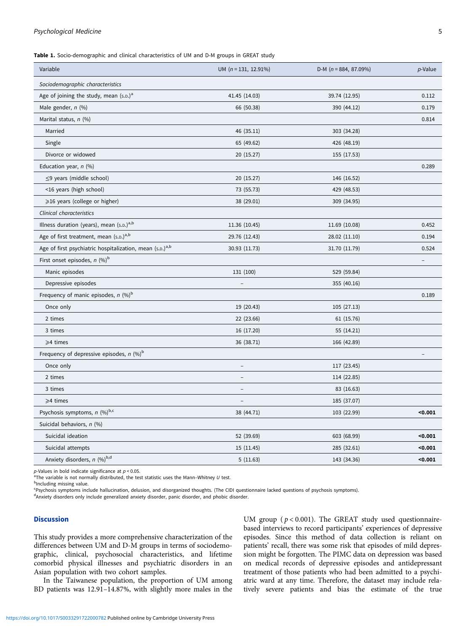## <span id="page-4-0"></span>Psychological Medicine 5

Table 1. Socio-demographic and clinical characteristics of UM and D-M groups in GREAT study

| Variable                                                             | UM $(n = 131, 12.91\%)$ | D-M ( $n = 884, 87.09\%)$ | p-Value           |
|----------------------------------------------------------------------|-------------------------|---------------------------|-------------------|
| Sociodemographic characteristics                                     |                         |                           |                   |
| Age of joining the study, mean $(s.p.)^a$                            | 41.45 (14.03)           | 39.74 (12.95)             | 0.112             |
| Male gender, n (%)                                                   | 66 (50.38)              | 390 (44.12)               | 0.179             |
| Marital status, n (%)                                                |                         |                           | 0.814             |
| Married                                                              | 46 (35.11)              | 303 (34.28)               |                   |
| Single                                                               | 65 (49.62)              | 426 (48.19)               |                   |
| Divorce or widowed                                                   | 20 (15.27)              | 155 (17.53)               |                   |
| Education year, n (%)                                                |                         |                           | 0.289             |
| $\leq$ 9 years (middle school)                                       | 20 (15.27)              | 146 (16.52)               |                   |
| <16 years (high school)                                              | 73 (55.73)              | 429 (48.53)               |                   |
| $\geqslant$ 16 years (college or higher)                             | 38 (29.01)              | 309 (34.95)               |                   |
| Clinical characteristics                                             |                         |                           |                   |
| Illness duration (years), mean (s.p.) <sup>a,b</sup>                 | 11.36 (10.45)           | 11.69 (10.08)             | 0.452             |
| Age of first treatment, mean $(s.p.)a,b$                             | 29.76 (12.43)           | 28.02 (11.10)             | 0.194             |
| Age of first psychiatric hospitalization, mean (s.D.) <sup>a,b</sup> | 30.93 (11.73)           | 31.70 (11.79)             | 0.524             |
| First onset episodes, $n$ (%) <sup>b</sup>                           |                         |                           | $\qquad \qquad -$ |
| Manic episodes                                                       | 131 (100)               | 529 (59.84)               |                   |
| Depressive episodes                                                  |                         | 355 (40.16)               |                   |
| Frequency of manic episodes, $n$ (%) <sup>b</sup>                    |                         |                           | 0.189             |
| Once only                                                            | 19 (20.43)              | 105 (27.13)               |                   |
| 2 times                                                              | 22 (23.66)              | 61 (15.76)                |                   |
| 3 times                                                              | 16 (17.20)              | 55 (14.21)                |                   |
| ≥4 times                                                             | 36 (38.71)              | 166 (42.89)               |                   |
| Frequency of depressive episodes, $n$ (%) <sup>b</sup>               |                         |                           |                   |
| Once only                                                            |                         | 117 (23.45)               |                   |
| 2 times                                                              |                         | 114 (22.85)               |                   |
| 3 times                                                              |                         | 83 (16.63)                |                   |
| $\geqslant$ 4 times                                                  | $\qquad \qquad -$       | 185 (37.07)               |                   |
| Psychosis symptoms, $n$ (%) <sup>b,c</sup>                           | 38 (44.71)              | 103 (22.99)               | $0.001$           |
| Suicidal behaviors, n (%)                                            |                         |                           |                   |
| Suicidal ideation                                                    | 52 (39.69)              | 603 (68.99)               | $0.001$           |
| Suicidal attempts                                                    | 15 (11.45)              | 285 (32.61)               | $0.001$           |
| Anxiety disorders, n (%)b,d                                          | 5(11.63)                | 143 (34.36)               | $0.001$           |
|                                                                      |                         |                           |                   |

 $p$ -Values in bold indicate significance at  $p < 0.05$ .

 $\overline{P}$ The variable is not normally distributed, the test statistic uses the Mann–Whitney U test.

<sup>b</sup>Including missing value.

<sup>c</sup> Psychosis symptoms include hallucination, delusion, and disorganized thoughts. (The CIDI questionnaire lacked questions of psychosis symptoms).

Anxiety disorders only include generalized anxiety disorder, panic disorder, and phobic disorder.

## Discussion

This study provides a more comprehensive characterization of the differences between UM and D-M groups in terms of sociodemographic, clinical, psychosocial characteristics, and lifetime comorbid physical illnesses and psychiatric disorders in an Asian population with two cohort samples.

In the Taiwanese population, the proportion of UM among BD patients was 12.91–14.87%, with slightly more males in the UM group ( $p < 0.001$ ). The GREAT study used questionnairebased interviews to record participants' experiences of depressive episodes. Since this method of data collection is reliant on patients' recall, there was some risk that episodes of mild depression might be forgotten. The PIMC data on depression was based on medical records of depressive episodes and antidepressant treatment of those patients who had been admitted to a psychiatric ward at any time. Therefore, the dataset may include relatively severe patients and bias the estimate of the true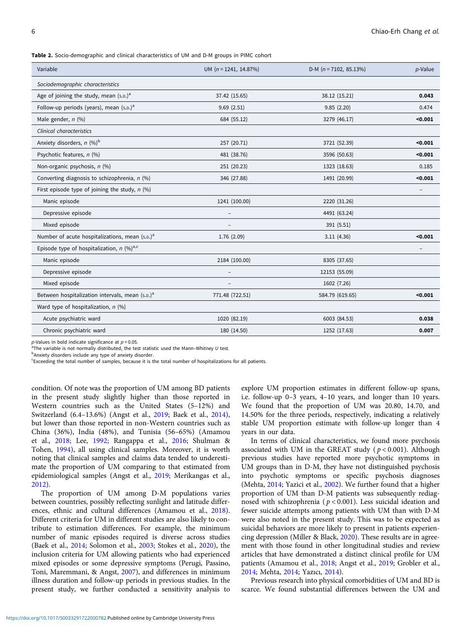<span id="page-5-0"></span>Table 2. Socio-demographic and clinical characteristics of UM and D-M groups in PIMC cohort

| Variable                                                    | UM $(n = 1241, 14.87%)$  | D-M $(n = 7102, 85.13\%)$ | p-Value |
|-------------------------------------------------------------|--------------------------|---------------------------|---------|
| Sociodemographic characteristics                            |                          |                           |         |
| Age of joining the study, mean $(s.p.)^a$                   | 37.42 (15.65)            | 38.12 (15.21)             | 0.043   |
| Follow-up periods (years), mean $(s.p.)^a$                  | 9.69(2.51)               | 9.85(2.20)                | 0.474   |
| Male gender, $n$ (%)                                        | 684 (55.12)              | 3279 (46.17)              | < 0.001 |
| <b>Clinical characteristics</b>                             |                          |                           |         |
| Anxiety disorders, $n$ (%) <sup>b</sup>                     | 257 (20.71)              | 3721 (52.39)              | < 0.001 |
| Psychotic features, n (%)                                   | 481 (38.76)              | 3596 (50.63)              | < 0.001 |
| Non-organic psychosis, n (%)                                | 251 (20.23)              | 1323 (18.63)              | 0.185   |
| Converting diagnosis to schizophrenia, $n$ (%)              | 346 (27.88)              | 1491 (20.99)              | < 0.001 |
| First episode type of joining the study, $n$ (%)            |                          |                           |         |
| Manic episode                                               | 1241 (100.00)            | 2220 (31.26)              |         |
| Depressive episode                                          |                          | 4491 (63.24)              |         |
| Mixed episode                                               | $\overline{\phantom{a}}$ | 391 (5.51)                |         |
| Number of acute hospitalizations, mean (s.p.) <sup>a</sup>  | 1.76 (2.09)              | 3.11(4.36)                | < 0.001 |
| Episode type of hospitalization, $n$ (%) <sup>a,c</sup>     |                          |                           |         |
| Manic episode                                               | 2184 (100.00)            | 8305 (37.65)              |         |
| Depressive episode                                          |                          | 12153 (55.09)             |         |
| Mixed episode                                               |                          | 1602 (7.26)               |         |
| Between hospitalization intervals, mean (s.p.) <sup>a</sup> | 771.48 (722.51)          | 584.79 (619.65)           | < 0.001 |
| Ward type of hospitalization, $n$ (%)                       |                          |                           |         |
| Acute psychiatric ward                                      | 1020 (82.19)             | 6003 (84.53)              | 0.038   |
| Chronic psychiatric ward                                    | 180 (14.50)              | 1252 (17.63)              | 0.007   |
|                                                             |                          |                           |         |

 $p$ -Values in bold indicate significance at  $p < 0.05$ .

<sup>a</sup>The variable is not normally distributed, the test statistic used the Mann–Whitney U test.

<sup>b</sup>Anxiety disorders include any type of anxiety disorder.

c Exceeding the total number of samples, because it is the total number of hospitalizations for all patients.

condition. Of note was the proportion of UM among BD patients in the present study slightly higher than those reported in Western countries such as the United States (5–12%) and Switzerland (6.4–13.6%) (Angst et al., [2019](#page-9-0); Baek et al., [2014\)](#page-9-0), but lower than those reported in non-Western countries such as China (36%), India (48%), and Tunisia (56–65%) (Amamou et al., [2018](#page-8-0); Lee, [1992;](#page-9-0) Rangappa et al., [2016](#page-9-0); Shulman & Tohen, [1994\)](#page-10-0), all using clinical samples. Moreover, it is worth noting that clinical samples and claims data tended to underestimate the proportion of UM comparing to that estimated from epidemiological samples (Angst et al., [2019](#page-9-0); Merikangas et al., [2012\)](#page-9-0).

The proportion of UM among D-M populations varies between countries, possibly reflecting sunlight and latitude differences, ethnic and cultural differences (Amamou et al., [2018\)](#page-8-0). Different criteria for UM in different studies are also likely to contribute to estimation differences. For example, the minimum number of manic episodes required is diverse across studies (Baek et al., [2014](#page-9-0); Solomon et al., [2003;](#page-10-0) Stokes et al., [2020](#page-10-0)), the inclusion criteria for UM allowing patients who had experienced mixed episodes or some depressive symptoms (Perugi, Passino, Toni, Maremmani, & Angst, [2007\)](#page-9-0), and differences in minimum illness duration and follow-up periods in previous studies. In the present study, we further conducted a sensitivity analysis to

explore UM proportion estimates in different follow-up spans, i.e. follow-up 0–3 years, 4–10 years, and longer than 10 years. We found that the proportion of UM was 20.80, 14.70, and 14.50% for the three periods, respectively, indicating a relatively stable UM proportion estimate with follow-up longer than 4 years in our data.

In terms of clinical characteristics, we found more psychosis associated with UM in the GREAT study ( $p < 0.001$ ). Although previous studies have reported more psychotic symptoms in UM groups than in D-M, they have not distinguished psychosis into psychotic symptoms or specific psychosis diagnoses (Mehta, [2014](#page-9-0); Yazici et al., [2002\)](#page-10-0). We further found that a higher proportion of UM than D-M patients was subsequently rediagnosed with schizophrenia ( $p < 0.001$ ). Less suicidal ideation and fewer suicide attempts among patients with UM than with D-M were also noted in the present study. This was to be expected as suicidal behaviors are more likely to present in patients experiencing depression (Miller & Black, [2020](#page-9-0)). These results are in agreement with those found in other longitudinal studies and review articles that have demonstrated a distinct clinical profile for UM patients (Amamou et al., [2018](#page-8-0); Angst et al., [2019](#page-9-0); Grobler et al., [2014;](#page-9-0) Mehta, [2014;](#page-9-0) Yazıcı, [2014](#page-10-0)).

Previous research into physical comorbidities of UM and BD is scarce. We found substantial differences between the UM and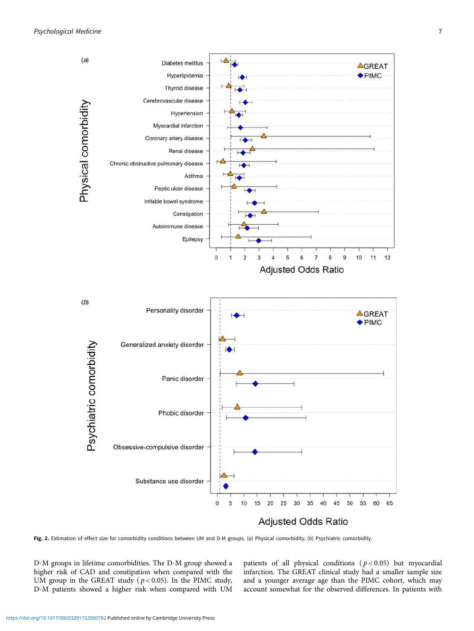<span id="page-6-0"></span>

Fig. 2. Estimation of effect size for comorbidity conditions between UM and D-M groups. (a) Physical comorbidity. (b) Psychiatric comorbidity.

D-M groups in lifetime comorbidities. The D-M group showed a higher risk of CAD and constipation when compared with the UM group in the GREAT study ( $p < 0.05$ ). In the PIMC study, D-M patients showed a higher risk when compared with UM patients of all physical conditions ( $p < 0.05$ ) but myocardial infarction. The GREAT clinical study had a smaller sample size and a younger average age than the PIMC cohort, which may account somewhat for the observed differences. In patients with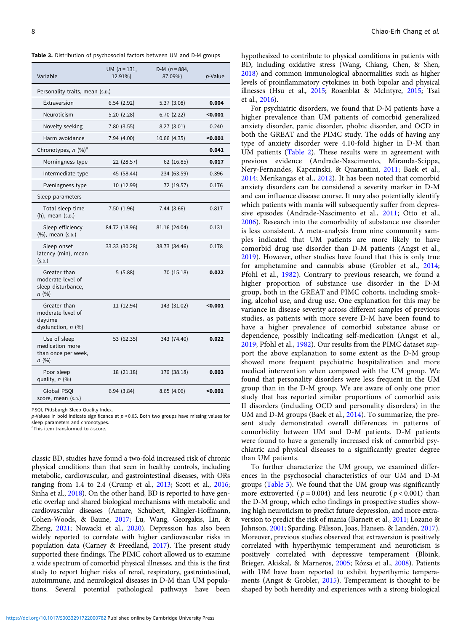<span id="page-7-0"></span>Table 3. Distribution of psychosocial factors between UM and D-M groups

| Variable                                                             | UM $(n = 131,$<br>12.91%) | D-M ( $n = 884$ ,<br>87.09%) | p-Value |  |  |
|----------------------------------------------------------------------|---------------------------|------------------------------|---------|--|--|
| Personality traits, mean (s.p.)                                      |                           |                              |         |  |  |
| Extraversion                                                         | 6.54(2.92)                | 5.37(3.08)                   | 0.004   |  |  |
| Neuroticism                                                          | 5.20(2.28)                | 6.70(2.22)                   | $0.001$ |  |  |
| Novelty seeking                                                      | 7.80(3.55)                | 8.27(3.01)                   | 0.240   |  |  |
| Harm avoidance                                                       | 7.94 (4.00)               | 10.66 (4.35)                 | $0.001$ |  |  |
| Chronotypes, $n$ (%) <sup>a</sup>                                    |                           |                              | 0.041   |  |  |
| Morningness type                                                     | 22 (28.57)                | 62 (16.85)                   | 0.017   |  |  |
| Intermediate type                                                    | 45 (58.44)                | 234 (63.59)                  | 0.396   |  |  |
| Eveningness type                                                     | 10 (12.99)                | 72 (19.57)                   | 0.176   |  |  |
| Sleep parameters                                                     |                           |                              |         |  |  |
| Total sleep time<br>(h), mean (s.D.)                                 | 7.50(1.96)                | 7.44 (3.66)                  | 0.817   |  |  |
| Sleep efficiency<br>(%), mean (s.p.)                                 | 84.72 (18.96)             | 81.16 (24.04)                | 0.131   |  |  |
| Sleep onset<br>latency (min), mean<br>(s.D.)                         | 33.33 (30.28)             | 38.73 (34.46)                | 0.178   |  |  |
| Greater than<br>moderate level of<br>sleep disturbance,<br>n (%)     | 5(5.88)                   | 70 (15.18)                   | 0.022   |  |  |
| Greater than<br>moderate level of<br>daytime<br>dysfunction, $n$ (%) | 11 (12.94)                | 143 (31.02)                  | $0.001$ |  |  |
| Use of sleep<br>medication more<br>than once per week,<br>n(%)       | 53 (62.35)                | 343 (74.40)                  | 0.022   |  |  |
| Poor sleep<br>quality, $n$ (%)                                       | 18 (21.18)                | 176 (38.18)                  | 0.003   |  |  |
| Global PSOI<br>score, mean (s.p.)                                    | 6.94(3.84)                | 8.65(4.06)                   | $0.001$ |  |  |

PSQI, Pittsburgh Sleep Quality Index.

 $p$ -Values in bold indicate significance at  $p < 0.05$ . Both two groups have missing values for sleep parameters and chronotypes.

 ${}^{a}$ This item transformed to  $t$ -score.

classic BD, studies have found a two-fold increased risk of chronic physical conditions than that seen in healthy controls, including metabolic, cardiovascular, and gastrointestinal diseases, with ORs ranging from 1.4 to 2.4 (Crump et al., [2013;](#page-9-0) Scott et al., [2016](#page-10-0); Sinha et al., [2018](#page-10-0)). On the other hand, BD is reported to have genetic overlap and shared biological mechanisms with metabolic and cardiovascular diseases (Amare, Schubert, Klingler-Hoffmann, Cohen-Woods, & Baune, [2017;](#page-8-0) Lu, Wang, Georgakis, Lin, & Zheng, [2021](#page-9-0); Nowacki et al., [2020\)](#page-9-0). Depression has also been widely reported to correlate with higher cardiovascular risks in population data (Carney & Freedland, [2017\)](#page-9-0). The present study supported these findings. The PIMC cohort allowed us to examine a wide spectrum of comorbid physical illnesses, and this is the first study to report higher risks of renal, respiratory, gastrointestinal, autoimmune, and neurological diseases in D-M than UM populations. Several potential pathological pathways have been

hypothesized to contribute to physical conditions in patients with BD, including oxidative stress (Wang, Chiang, Chen, & Shen, [2018](#page-10-0)) and common immunological abnormalities such as higher levels of proinflammatory cytokines in both bipolar and physical illnesses (Hsu et al., [2015;](#page-9-0) Rosenblat & McIntyre, [2015;](#page-9-0) Tsai et al., [2016](#page-10-0)).

For psychiatric disorders, we found that D-M patients have a higher prevalence than UM patients of comorbid generalized anxiety disorder, panic disorder, phobic disorder, and OCD in both the GREAT and the PIMC study. The odds of having any type of anxiety disorder were 4.10-fold higher in D-M than UM patients ([Table 2](#page-5-0)). These results were in agreement with previous evidence (Andrade-Nascimento, Miranda-Scippa, Nery-Fernandes, Kapczinski, & Quarantini, [2011;](#page-8-0) Baek et al., [2014;](#page-9-0) Merikangas et al., [2012\)](#page-9-0). It has been noted that comorbid anxiety disorders can be considered a severity marker in D-M and can influence disease course. It may also potentially identify which patients with mania will subsequently suffer from depressive episodes (Andrade-Nascimento et al., [2011;](#page-8-0) Otto et al., [2006\)](#page-9-0). Research into the comorbidity of substance use disorder is less consistent. A meta-analysis from nine community samples indicated that UM patients are more likely to have comorbid drug use disorder than D-M patients (Angst et al., [2019\)](#page-9-0). However, other studies have found that this is only true for amphetamine and cannabis abuse (Grobler et al., [2014;](#page-9-0) Pfohl et al., [1982\)](#page-9-0). Contrary to previous research, we found a higher proportion of substance use disorder in the D-M group, both in the GREAT and PIMC cohorts, including smoking, alcohol use, and drug use. One explanation for this may be variance in disease severity across different samples of previous studies, as patients with more severe D-M have been found to have a higher prevalence of comorbid substance abuse or dependence, possibly indicating self-medication (Angst et al., [2019;](#page-9-0) Pfohl et al., [1982](#page-9-0)). Our results from the PIMC dataset support the above explanation to some extent as the D-M group showed more frequent psychiatric hospitalization and more medical intervention when compared with the UM group. We found that personality disorders were less frequent in the UM group than in the D-M group. We are aware of only one prior study that has reported similar proportions of comorbid axis II disorders (including OCD and personality disorders) in the UM and D-M groups (Baek et al., [2014](#page-9-0)). To summarize, the present study demonstrated overall differences in patterns of comorbidity between UM and D-M patients. D-M patients were found to have a generally increased risk of comorbid psychiatric and physical diseases to a significantly greater degree than UM patients.

To further characterize the UM group, we examined differences in the psychosocial characteristics of our UM and D-M groups (Table 3). We found that the UM group was significantly more extroverted ( $p = 0.004$ ) and less neurotic ( $p < 0.001$ ) than the D-M group, which echo findings in prospective studies showing high neuroticism to predict future depression, and more extraversion to predict the risk of mania (Barnett et al., [2011;](#page-9-0) Lozano & Johnson, [2001](#page-9-0); Sparding, Pålsson, Joas, Hansen, & Landén, [2017](#page-10-0)). Moreover, previous studies observed that extraversion is positively correlated with hyperthymic temperament and neuroticism is positively correlated with depressive temperament (Blöink, Brieger, Akiskal, & Marneros, [2005](#page-9-0); Rózsa et al., [2008](#page-10-0)). Patients with UM have been reported to exhibit hyperthymic temperaments (Angst & Grobler, [2015](#page-8-0)). Temperament is thought to be shaped by both heredity and experiences with a strong biological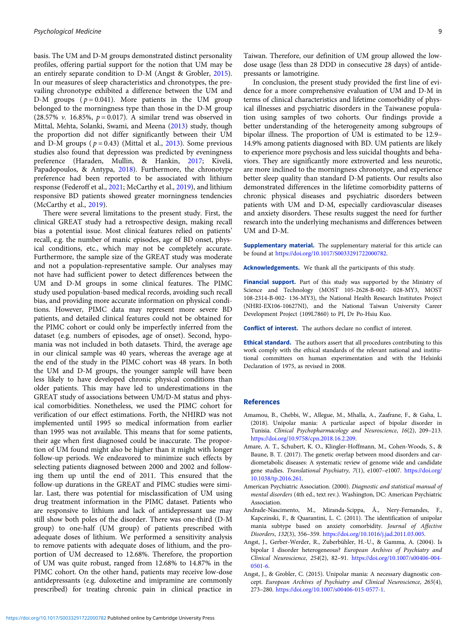<span id="page-8-0"></span>basis. The UM and D-M groups demonstrated distinct personality profiles, offering partial support for the notion that UM may be an entirely separate condition to D-M (Angst & Grobler, 2015). In our measures of sleep characteristics and chronotypes, the prevailing chronotype exhibited a difference between the UM and D-M groups  $(p = 0.041)$ . More patients in the UM group belonged to the morningness type than those in the D-M group (28.57% v. 16.85%,  $p = 0.017$ ). A similar trend was observed in Mittal, Mehta, Solanki, Swami, and Meena ([2013\)](#page-9-0) study, though the proportion did not differ significantly between their UM and D-M groups ( $p = 0.43$ ) (Mittal et al., [2013](#page-9-0)). Some previous studies also found that depression was predicted by eveningness preference (Haraden, Mullin, & Hankin, [2017](#page-9-0); Kivelä, Papadopoulos, & Antypa, [2018](#page-9-0)). Furthermore, the chronotype preference had been reported to be associated with lithium response (Federoff et al., [2021;](#page-9-0) McCarthy et al., [2019\)](#page-9-0), and lithium responsive BD patients showed greater morningness tendencies (McCarthy et al., [2019](#page-9-0)).

There were several limitations to the present study. First, the clinical GREAT study had a retrospective design, making recall bias a potential issue. Most clinical features relied on patients' recall, e.g. the number of manic episodes, age of BD onset, physical conditions, etc., which may not be completely accurate. Furthermore, the sample size of the GREAT study was moderate and not a population-representative sample. Our analyses may not have had sufficient power to detect differences between the UM and D-M groups in some clinical features. The PIMC study used population-based medical records, avoiding such recall bias, and providing more accurate information on physical conditions. However, PIMC data may represent more severe BD patients, and detailed clinical features could not be obtained for the PIMC cohort or could only be imperfectly inferred from the dataset (e.g. numbers of episodes, age of onset). Second, hypomania was not included in both datasets. Third, the average age in our clinical sample was 40 years, whereas the average age at the end of the study in the PIMC cohort was 48 years. In both the UM and D-M groups, the younger sample will have been less likely to have developed chronic physical conditions than older patients. This may have led to underestimations in the GREAT study of associations between UM/D-M status and physical comorbidities. Nonetheless, we used the PIMC cohort for verification of our effect estimations. Forth, the NHIRD was not implemented until 1995 so medical information from earlier than 1995 was not available. This means that for some patients, their age when first diagnosed could be inaccurate. The proportion of UM found might also be higher than it might with longer follow-up periods. We endeavored to minimize such effects by selecting patients diagnosed between 2000 and 2002 and following them up until the end of 2011. This ensured that the follow-up durations in the GREAT and PIMC studies were similar. Last, there was potential for misclassification of UM using drug treatment information in the PIMC dataset. Patients who are responsive to lithium and lack of antidepressant use may still show both poles of the disorder. There was one-third (D-M group) to one-half (UM group) of patients prescribed with adequate doses of lithium. We performed a sensitivity analysis to remove patients with adequate doses of lithium, and the proportion of UM decreased to 12.68%. Therefore, the proportion of UM was quite robust, ranged from 12.68% to 14.87% in the PIMC cohort. On the other hand, patients may receive low-dose antidepressants (e.g. duloxetine and imipramine are commonly prescribed) for treating chronic pain in clinical practice in

Taiwan. Therefore, our definition of UM group allowed the lowdose usage (less than 28 DDD in consecutive 28 days) of antidepressants or lamotrigine.

In conclusion, the present study provided the first line of evidence for a more comprehensive evaluation of UM and D-M in terms of clinical characteristics and lifetime comorbidity of physical illnesses and psychiatric disorders in the Taiwanese population using samples of two cohorts. Our findings provide a better understanding of the heterogeneity among subgroups of bipolar illness. The proportion of UM is estimated to be 12.9– 14.9% among patients diagnosed with BD. UM patients are likely to experience more psychosis and less suicidal thoughts and behaviors. They are significantly more extroverted and less neurotic, are more inclined to the morningness chronotype, and experience better sleep quality than standard D-M patients. Our results also demonstrated differences in the lifetime comorbidity patterns of chronic physical diseases and psychiatric disorders between patients with UM and D-M, especially cardiovascular diseases and anxiety disorders. These results suggest the need for further research into the underlying mechanisms and differences between UM and D-M.

Supplementary material. The supplementary material for this article can be found at [https://doi.org/10.1017/S0033291722000782.](https://doi.org/10.1017/S0033291722000782)

Acknowledgements. We thank all the participants of this study.

Financial support. Part of this study was supported by the Ministry of Science and Technology (MOST 105-2628-B-002- 028-MY3, MOST 108-2314-B-002- 136-MY3), the National Health Research Institutes Project (NHRI-EX106-10627NI), and the National Taiwan University Career Development Project (109L7860) to PI, Dr Po-Hsiu Kuo.

Conflict of interest. The authors declare no conflict of interest.

Ethical standard. The authors assert that all procedures contributing to this work comply with the ethical standards of the relevant national and institutional committees on human experimentation and with the Helsinki Declaration of 1975, as revised in 2008.

## References

- Amamou, B., Chebbi, W., Allegue, M., Mhalla, A., Zaafrane, F., & Gaha, L. (2018). Unipolar mania: A particular aspect of bipolar disorder in Tunisia. Clinical Psychopharmacology and Neuroscience, 16(2), 209–213. [https://doi.org/10.9758/cpn.2018.16.2.209.](https://doi.org/10.9758/cpn.2018.16.2.209)
- Amare, A. T., Schubert, K. O., Klingler-Hoffmann, M., Cohen-Woods, S., & Baune, B. T. (2017). The genetic overlap between mood disorders and cardiometabolic diseases: A systematic review of genome wide and candidate gene studies. Translational Psychiatry, 7(1), e1007-e1007. [https://doi.org/](https://doi.org/10.1038/tp.2016.261) [10.1038/tp.2016.261](https://doi.org/10.1038/tp.2016.261).
- American Psychiatric Association. (2000). Diagnostic and statistical manual of mental disorders (4th ed., text rev.). Washington, DC: American Psychiatric Association.
- Andrade-Nascimento, M., Miranda-Scippa, Â., Nery-Fernandes, F., Kapczinski, F., & Quarantini, L. C. (2011). The identification of unipolar mania subtype based on anxiety comorbidity. Journal of Affective Disorders, 132(3), 356–359. <https://doi.org/10.1016/j.jad.2011.03.005>.
- Angst, J., Gerber-Werder, R., Zuberbühler, H.-U., & Gamma, A. (2004). Is bipolar I disorder heterogeneous? European Archives of Psychiatry and Clinical Neuroscience, 254(2), 82–91. [https://doi.org/10.1007/s00406-004-](https://doi.org/10.1007/s00406-004-0501-6) [0501-6](https://doi.org/10.1007/s00406-004-0501-6).
- Angst, J., & Grobler, C. (2015). Unipolar mania: A necessary diagnostic concept. European Archives of Psychiatry and Clinical Neuroscience, 265(4), 273–280. <https://doi.org/10.1007/s00406-015-0577-1>.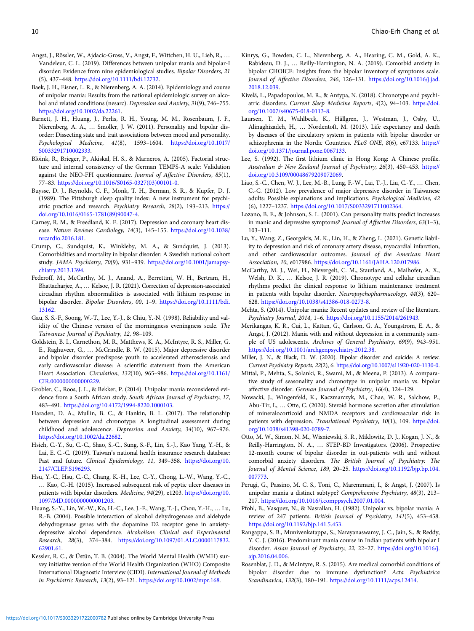- <span id="page-9-0"></span>Angst, J., Rössler, W., Ajdacic-Gross, V., Angst, F., Wittchen, H. U., Lieb, R., … Vandeleur, C. L. (2019). Differences between unipolar mania and bipolar-I disorder: Evidence from nine epidemiological studies. Bipolar Disorders, 21 (5), 437–448. <https://doi.org/10.1111/bdi.12732>.
- Baek, J. H., Eisner, L. R., & Nierenberg, A. A. (2014). Epidemiology and course of unipolar mania: Results from the national epidemiologic survey on alcohol and related conditions (nesarc). Depression and Anxiety, 31(9), 746–755. [https://doi.org/10.1002/da.22261.](https://doi.org/10.1002/da.22261)
- Barnett, J. H., Huang, J., Perlis, R. H., Young, M. M., Rosenbaum, J. F., Nierenberg, A. A., … Smoller, J. W. (2011). Personality and bipolar disorder: Dissecting state and trait associations between mood and personality. Psychological Medicine, 41(8), 1593–1604. [https://doi.org/10.1017/](https://doi.org/10.1017/S0033291710002333) [S0033291710002333.](https://doi.org/10.1017/S0033291710002333)
- Blöink, R., Brieger, P., Akiskal, H. S., & Marneros, A. (2005). Factorial structure and internal consistency of the German TEMPS-A scale: Validation against the NEO-FFI questionnaire. Journal of Affective Disorders, 85(1), 77–83. [https://doi.org/10.1016/S0165-0327\(03\)00101-0](https://doi.org/10.1016/S0165-0327(03)00101-0).
- Buysse, D. J., Reynolds, C. F., Monk, T. H., Berman, S. R., & Kupfer, D. J. (1989). The Pittsburgh sleep quality index: A new instrument for psychiatric practice and research. Psychiatry Research, 28(2), 193–213. [https://](https://doi.org/10.1016/0165-1781(89)90047-4) [doi.org/10.1016/0165-1781\(89\)90047-4](https://doi.org/10.1016/0165-1781(89)90047-4).
- Carney, R. M., & Freedland, K. E. (2017). Depression and coronary heart disease. Nature Reviews Cardiology, 14(3), 145–155. [https://doi.org/10.1038/](https://doi.org/10.1038/nrcardio.2016.181) [nrcardio.2016.181.](https://doi.org/10.1038/nrcardio.2016.181)
- Crump, C., Sundquist, K., Winkleby, M. A., & Sundquist, J. (2013). Comorbidities and mortality in bipolar disorder: A Swedish national cohort study. JAMA Psychiatry, 70(9), 931–939. [https://doi.org/10.1001/jamapsy](https://doi.org/10.1001/jamapsychiatry.2013.1394)[chiatry.2013.1394](https://doi.org/10.1001/jamapsychiatry.2013.1394).
- Federoff, M., McCarthy, M. J., Anand, A., Berrettini, W. H., Bertram, H., Bhattacharjee, A., … Kelsoe, J. R. (2021). Correction of depression-associated circadian rhythm abnormalities is associated with lithium response in bipolar disorder. Bipolar Disorders, 00, 1–9. [https://doi.org/10.1111/bdi.](https://doi.org/10.1111/bdi.13162) [13162](https://doi.org/10.1111/bdi.13162).
- Gau, S. S.-F., Soong, W.-T., Lee, Y.-J., & Chiu, Y.-N. (1998). Reliability and validity of the Chinese version of the morningness eveningness scale. The Taiwanese Journal of Psychiatry, 12, 98–109.
- Goldstein, B. I., Carnethon, M. R., Matthews, K. A., McIntyre, R. S., Miller, G. E., Raghuveer, G., … McCrindle, B. W. (2015). Major depressive disorder and bipolar disorder predispose youth to accelerated atherosclerosis and early cardiovascular disease: A scientific statement from the American Heart Association. Circulation, 132(10), 965–986. [https://doi.org/10.1161/](https://doi.org/10.1161/CIR.0000000000000229) [CIR.0000000000000229](https://doi.org/10.1161/CIR.0000000000000229).
- Grobler, C., Roos, J. L., & Bekker, P. (2014). Unipolar mania reconsidered evidence from a South African study. South African Journal of Psychiatry, 17, 483–491. [https://doi.org/10.4172/1994-8220.1000103.](https://doi.org/10.4172/1994-8220.1000103)
- Haraden, D. A., Mullin, B. C., & Hankin, B. L. (2017). The relationship between depression and chronotype: A longitudinal assessment during childhood and adolescence. Depression and Anxiety, 34(10), 967–976. [https://doi.org/10.1002/da.22682.](https://doi.org/10.1002/da.22682)
- Hsieh, C.-Y., Su, C.-C., Shao, S.-C., Sung, S.-F., Lin, S.-J., Kao Yang, Y.-H., & Lai, E. C.-C. (2019). Taiwan's national health insurance research database: Past and future. Clinical Epidemiology, 11, 349–358. [https://doi.org/10.](https://doi.org/10.2147/CLEP.S196293) [2147/CLEP.S196293](https://doi.org/10.2147/CLEP.S196293).
- Hsu, Y.-C., Hsu, C.-C., Chang, K.-H., Lee, C.-Y., Chong, L.-W., Wang, Y.-C., … Kao, C.-H. (2015). Increased subsequent risk of peptic ulcer diseases in patients with bipolar disorders. Medicine, 94(29), e1203. [https://doi.org/10.](https://doi.org/10.1097/MD.0000000000001203) [1097/MD.0000000000001203](https://doi.org/10.1097/MD.0000000000001203).
- Huang, S.-Y., Lin, W.-W., Ko, H.-C., Lee, J.-F., Wang, T.-J., Chou, Y.-H., … Lu, R.-B. (2004). Possible interaction of alcohol dehydrogenase and aldehyde dehydrogenase genes with the dopamine D2 receptor gene in anxietydepressive alcohol dependence. Alcoholism: Clinical and Experimental Research, 28(3), 374–384. [https://doi.org/10.1097/01.ALC.0000117832.](https://doi.org/10.1097/01.ALC.0000117832.62901.61) [62901.61](https://doi.org/10.1097/01.ALC.0000117832.62901.61).
- Kessler, R. C., & Üstün, T. B. (2004). The World Mental Health (WMH) survey initiative version of the World Health Organization (WHO) Composite International Diagnostic Interview (CIDI). International Journal of Methods in Psychiatric Research, 13(2), 93–121. [https://doi.org/10.1002/mpr.168.](https://doi.org/10.1002/mpr.168)
- Kinrys, G., Bowden, C. L., Nierenberg, A. A., Hearing, C. M., Gold, A. K., Rabideau, D. J., … Reilly-Harrington, N. A. (2019). Comorbid anxiety in bipolar CHOICE: Insights from the bipolar inventory of symptoms scale. Journal of Affective Disorders, 246, 126–131. [https://doi.org/10.1016/j.jad.](https://doi.org/10.1016/j.jad.2018.12.039) [2018.12.039](https://doi.org/10.1016/j.jad.2018.12.039).
- Kivelä, L., Papadopoulos, M. R., & Antypa, N. (2018). Chronotype and psychiatric disorders. Current Sleep Medicine Reports, 4(2), 94–103. [https://doi.](https://doi.org/10.1007/s40675-018-0113-8) [org/10.1007/s40675-018-0113-8.](https://doi.org/10.1007/s40675-018-0113-8)
- Laursen, T. M., Wahlbeck, K., Hällgren, J., Westman, J., Ösby, U., Alinaghizadeh, H., … Nordentoft, M. (2013). Life expectancy and death by diseases of the circulatory system in patients with bipolar disorder or schizophrenia in the Nordic Countries. PLoS ONE, 8(6), e67133. [https://](https://doi.org/10.1371/journal.pone.0067133) [doi.org/10.1371/journal.pone.0067133.](https://doi.org/10.1371/journal.pone.0067133)
- Lee, S. (1992). The first lithium clinic in Hong Kong: A Chinese profile. Australian & New Zealand Journal of Psychiatry, 26(3), 450–453. [https://](https://doi.org/10.3109/00048679209072069) [doi.org/10.3109/00048679209072069.](https://doi.org/10.3109/00048679209072069)
- Liao, S.-C., Chen, W. J., Lee, M.-B., Lung, F.-W., Lai, T.-J., Liu, C.-Y., … Chen, C.-C. (2012). Low prevalence of major depressive disorder in Taiwanese adults: Possible explanations and implications. Psychological Medicine, 42 (6), 1227–1237. [https://doi.org/10.1017/S0033291711002364.](https://doi.org/10.1017/S0033291711002364)
- Lozano, B. E., & Johnson, S. L. (2001). Can personality traits predict increases in manic and depressive symptoms? Journal of Affective Disorders, 63(1–3), 103–111.
- Lu, Y., Wang, Z., Georgakis, M. K., Lin, H., & Zheng, L. (2021). Genetic liability to depression and risk of coronary artery disease, myocardial infarction, and other cardiovascular outcomes. Journal of the American Heart Association, 10, e017986. <https://doi.org/10.1161/JAHA.120.017986>.
- McCarthy, M. J., Wei, H., Nievergelt, C. M., Stautland, A., Maihofer, A. X., Welsh, D. K., … Kelsoe, J. R. (2019). Chronotype and cellular circadian rhythms predict the clinical response to lithium maintenance treatment in patients with bipolar disorder. Neuropsychopharmacology, 44(3), 620– 628. [https://doi.org/10.1038/s41386-018-0273-8.](https://doi.org/10.1038/s41386-018-0273-8)
- Mehta, S. (2014). Unipolar mania: Recent updates and review of the literature. Psychiatry Journal, 2014, 1–6. [https://doi.org/10.1155/2014/261943.](https://doi.org/10.1155/2014/261943)
- Merikangas, K. R., Cui, L., Kattan, G., Carlson, G. A., Youngstrom, E. A., & Angst, J. (2012). Mania with and without depression in a community sample of US adolescents. Archives of General Psychiatry, 69(9), 943–951. [https://doi.org/10.1001/archgenpsychiatry.2012.38.](https://doi.org/10.1001/archgenpsychiatry.2012.38)
- Miller, J. N., & Black, D. W. (2020). Bipolar disorder and suicide: A review. Current Psychiatry Reports, 22(2), 6. [https://doi.org/10.1007/s11920-020-1130-0.](https://doi.org/10.1007/s11920-020-1130-0)
- Mittal, P., Mehta, S., Solanki, R., Swami, M., & Meena, P. (2013). A comparative study of seasonality and chronotype in unipolar mania vs. bipolar affective disorder. German Journal of Psychiatry, 16(4), 124–129.
- Nowacki, J., Wingenfeld, K., Kaczmarczyk, M., Chae, W. R., Salchow, P., Abu-Tir, I., … Otte, C. (2020). Steroid hormone secretion after stimulation of mineralocorticoid and NMDA receptors and cardiovascular risk in patients with depression. Translational Psychiatry, 10(1), 109. [https://doi.](https://doi.org/10.1038/s41398-020-0789-7) [org/10.1038/s41398-020-0789-7.](https://doi.org/10.1038/s41398-020-0789-7)
- Otto, M. W., Simon, N. M., Wisniewski, S. R., Miklowitz, D. J., Kogan, J. N., & Reilly-Harrington, N. A., … STEP-BD Investigators. (2006). Prospective 12-month course of bipolar disorder in out-patients with and without comorbid anxiety disorders. The British Journal of Psychiatry: The Journal of Mental Science, 189, 20–25. [https://doi.org/10.1192/bjp.bp.104.](https://doi.org/10.1192/bjp.bp.104.007773) [007773](https://doi.org/10.1192/bjp.bp.104.007773).
- Perugi, G., Passino, M. C. S., Toni, C., Maremmani, I., & Angst, J. (2007). Is unipolar mania a distinct subtype? Comprehensive Psychiatry, 48(3), 213– 217. <https://doi.org/10.1016/j.comppsych.2007.01.004>.
- Pfohl, B., Vasquez, N., & Nasrallan, H. (1982). Unipolar vs. bipolar mania: A review of 247 patients. British Journal of Psychiatry, 141(5), 453–458. [https://doi.org/10.1192/bjp.141.5.453.](https://doi.org/10.1192/bjp.141.5.453)
- Rangappa, S. B., Munivenkatappa, S., Narayanaswamy, J. C., Jain, S., & Reddy, Y. C. J. (2016). Predominant mania course in Indian patients with bipolar I disorder. Asian Journal of Psychiatry, 22, 22–27. [https://doi.org/10.1016/j.](https://doi.org/10.1016/j.ajp.2016.04.006) [ajp.2016.04.006.](https://doi.org/10.1016/j.ajp.2016.04.006)
- Rosenblat, J. D., & McIntyre, R. S. (2015). Are medical comorbid conditions of bipolar disorder due to immune dysfunction? Acta Psychiatrica Scandinavica, 132(3), 180–191. [https://doi.org/10.1111/acps.12414.](https://doi.org/10.1111/acps.12414)